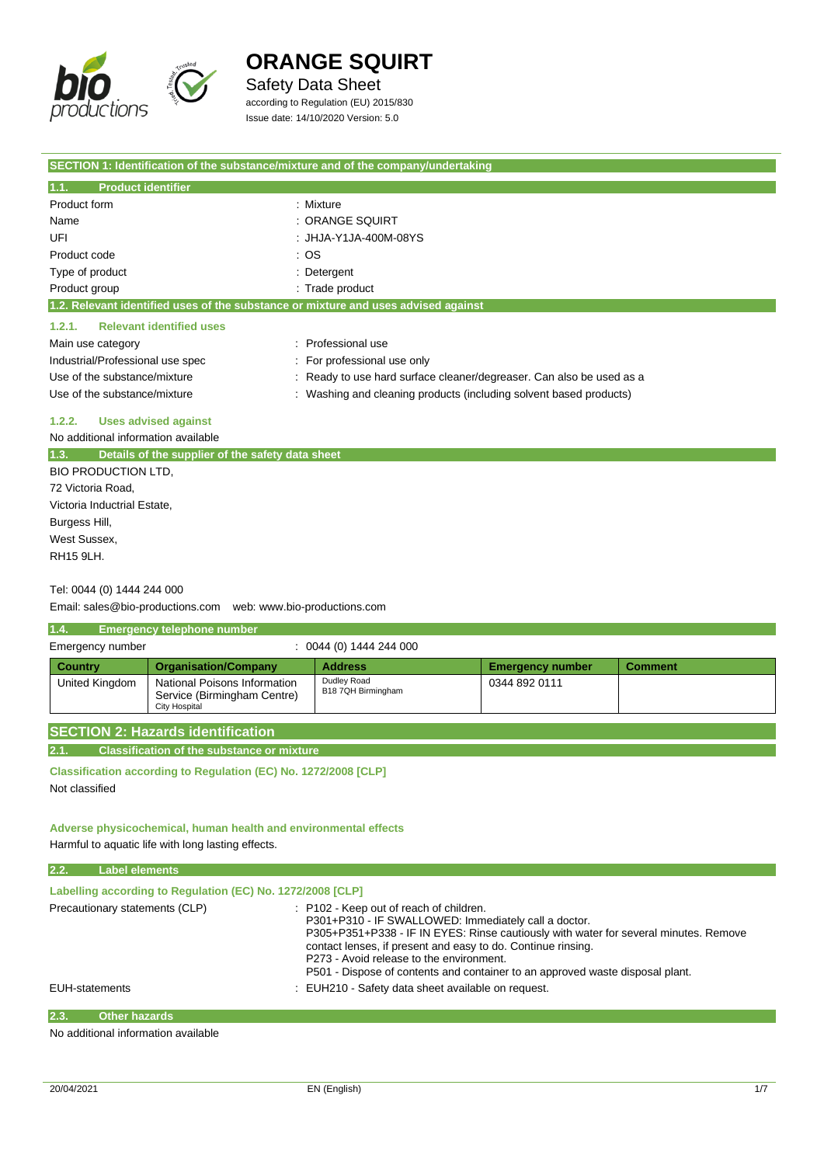

### Safety Data Sheet

according to Regulation (EU) 2015/830 Issue date: 14/10/2020 Version: 5.0

| SECTION 1: Identification of the substance/mixture and of the company/undertaking  |                                                                      |  |
|------------------------------------------------------------------------------------|----------------------------------------------------------------------|--|
| 1.1.<br><b>Product identifier</b>                                                  |                                                                      |  |
| Product form                                                                       | : Mixture                                                            |  |
| Name                                                                               | : ORANGE SQUIRT                                                      |  |
| UFI                                                                                | : JHJA-Y1JA-400M-08YS                                                |  |
| Product code                                                                       | : OS                                                                 |  |
| Type of product                                                                    | : Detergent                                                          |  |
| Product group                                                                      | : Trade product                                                      |  |
| 1.2. Relevant identified uses of the substance or mixture and uses advised against |                                                                      |  |
| <b>Relevant identified uses</b><br>1.2.1.                                          |                                                                      |  |
| Main use category                                                                  | : Professional use                                                   |  |
| Industrial/Professional use spec                                                   | : For professional use only                                          |  |
| Use of the substance/mixture                                                       | : Ready to use hard surface cleaner/degreaser. Can also be used as a |  |
| Use of the substance/mixture                                                       | : Washing and cleaning products (including solvent based products)   |  |
| <b>Uses advised against</b><br>1.2.2.                                              |                                                                      |  |

No additional information available

| 1.3.          | Details of the supplier of the safety data sheet |
|---------------|--------------------------------------------------|
|               | BIO PRODUCTION LTD.                              |
|               | 72 Victoria Road,                                |
|               | Victoria Inductrial Estate,                      |
| Burgess Hill, |                                                  |
| West Sussex,  |                                                  |
| RH15 9LH.     |                                                  |
|               |                                                  |

#### Tel: 0044 (0) 1444 244 000

Email: sales@bio-productions.com web: www.bio-productions.com

| 1.4.<br><b>Emergency telephone number</b>                                                             |                                                                              |                                   |                         |                |
|-------------------------------------------------------------------------------------------------------|------------------------------------------------------------------------------|-----------------------------------|-------------------------|----------------|
| $: 0044(0)$ 1444 244 000<br>Emergency number                                                          |                                                                              |                                   |                         |                |
| <b>Country</b>                                                                                        | <b>Organisation/Company</b>                                                  | <b>Address</b>                    | <b>Emergency number</b> | <b>Comment</b> |
| United Kingdom                                                                                        | National Poisons Information<br>Service (Birmingham Centre)<br>City Hospital | Dudley Road<br>B18 7QH Birmingham | 0344 892 0111           |                |
| <b>SECTION 2: Hazards identification</b><br>2.1.<br><b>Classification of the substance or mixture</b> |                                                                              |                                   |                         |                |

**Classification according to Regulation (EC) No. 1272/2008 [CLP]** Not classified

#### **Adverse physicochemical, human health and environmental effects** Harmful to aquatic life with long lasting effects.

| 2.2. | <b>Label elements</b>                                      |                                                                                                                                                                                                                                                                                                                                                                                      |  |  |  |
|------|------------------------------------------------------------|--------------------------------------------------------------------------------------------------------------------------------------------------------------------------------------------------------------------------------------------------------------------------------------------------------------------------------------------------------------------------------------|--|--|--|
|      | Labelling according to Regulation (EC) No. 1272/2008 [CLP] |                                                                                                                                                                                                                                                                                                                                                                                      |  |  |  |
|      | Precautionary statements (CLP)                             | : P102 - Keep out of reach of children.<br>P301+P310 - IF SWALLOWED: Immediately call a doctor.<br>P305+P351+P338 - IF IN EYES: Rinse cautiously with water for several minutes. Remove<br>contact lenses, if present and easy to do. Continue rinsing.<br>P273 - Avoid release to the environment.<br>P501 - Dispose of contents and container to an approved waste disposal plant. |  |  |  |
|      | <b>EUH-statements</b>                                      | : EUH210 - Safety data sheet available on request.                                                                                                                                                                                                                                                                                                                                   |  |  |  |
| 2.3. | <b>Other hazards</b>                                       |                                                                                                                                                                                                                                                                                                                                                                                      |  |  |  |

No additional information available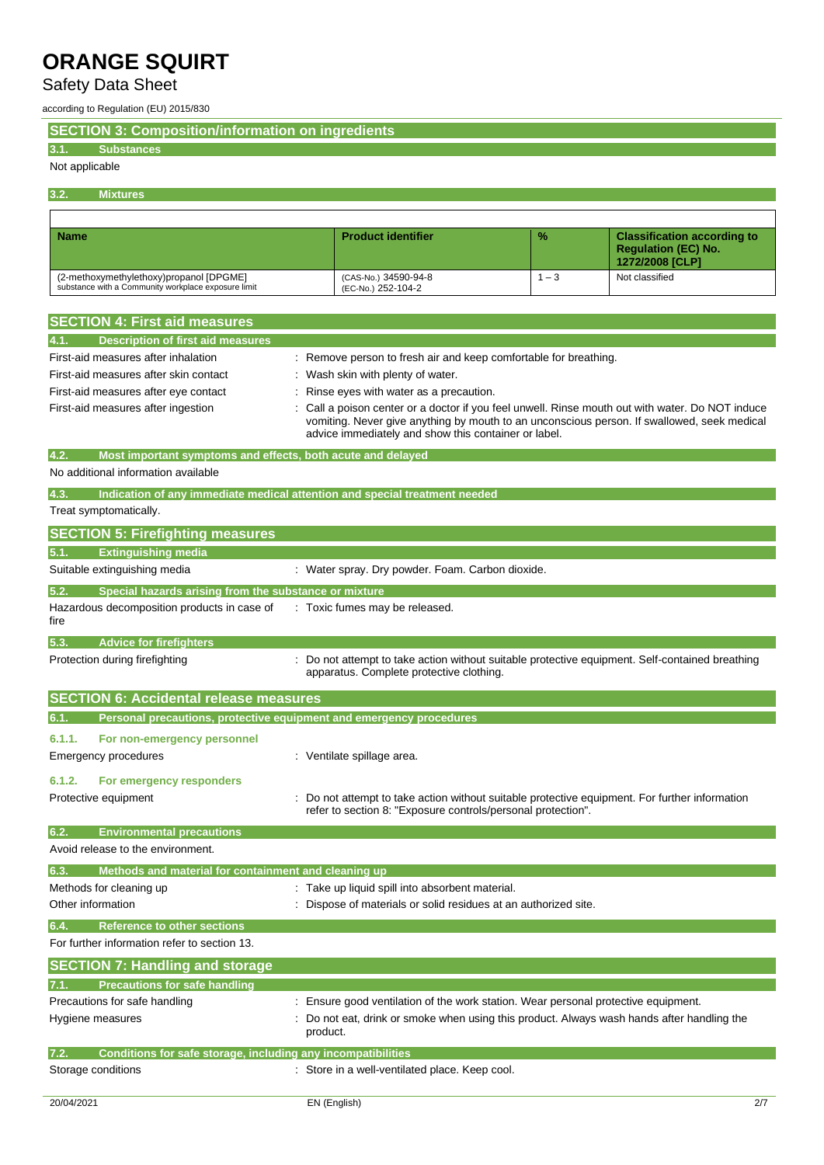## Safety Data Sheet

according to Regulation (EU) 2015/830

**SECTION 3: Composition/information on ingredients**

#### **3.1. Substances**

#### Not applicable

**3.2. Mixtures**

| <b>Name</b>                                                                                    | <b>Product identifier</b>                  | $\frac{9}{6}$ | <b>Classification according to</b><br><b>Requlation (EC) No.</b><br>1272/2008 [CLP] |
|------------------------------------------------------------------------------------------------|--------------------------------------------|---------------|-------------------------------------------------------------------------------------|
| (2-methoxymethylethoxy)propanol [DPGME]<br>substance with a Community workplace exposure limit | (CAS-No.) 34590-94-8<br>(EC-No.) 252-104-2 | $-3$          | Not classified                                                                      |

| <b>SECTION 4: First aid measures</b>                                                       |                                                                                                                                                                                                                                                       |
|--------------------------------------------------------------------------------------------|-------------------------------------------------------------------------------------------------------------------------------------------------------------------------------------------------------------------------------------------------------|
| Description of first aid measures<br>4.1.                                                  |                                                                                                                                                                                                                                                       |
| First-aid measures after inhalation                                                        | Remove person to fresh air and keep comfortable for breathing.                                                                                                                                                                                        |
| First-aid measures after skin contact                                                      | Wash skin with plenty of water.                                                                                                                                                                                                                       |
| First-aid measures after eye contact                                                       | Rinse eyes with water as a precaution.                                                                                                                                                                                                                |
| First-aid measures after ingestion                                                         | Call a poison center or a doctor if you feel unwell. Rinse mouth out with water. Do NOT induce<br>vomiting. Never give anything by mouth to an unconscious person. If swallowed, seek medical<br>advice immediately and show this container or label. |
| 4.2.<br>Most important symptoms and effects, both acute and delayed                        |                                                                                                                                                                                                                                                       |
| No additional information available                                                        |                                                                                                                                                                                                                                                       |
| 4.3.                                                                                       | Indication of any immediate medical attention and special treatment needed                                                                                                                                                                            |
| Treat symptomatically.                                                                     |                                                                                                                                                                                                                                                       |
| <b>SECTION 5: Firefighting measures</b>                                                    |                                                                                                                                                                                                                                                       |
| <b>Extinguishing media</b><br>5.1.                                                         |                                                                                                                                                                                                                                                       |
| Suitable extinguishing media                                                               | : Water spray. Dry powder. Foam. Carbon dioxide.                                                                                                                                                                                                      |
| 5.2.<br>Special hazards arising from the substance or mixture                              |                                                                                                                                                                                                                                                       |
| Hazardous decomposition products in case of<br>fire                                        | : Toxic fumes may be released.                                                                                                                                                                                                                        |
| 5.3.<br><b>Advice for firefighters</b>                                                     |                                                                                                                                                                                                                                                       |
| Protection during firefighting                                                             | Do not attempt to take action without suitable protective equipment. Self-contained breathing<br>apparatus. Complete protective clothing.                                                                                                             |
| <b>SECTION 6: Accidental release measures</b>                                              |                                                                                                                                                                                                                                                       |
|                                                                                            |                                                                                                                                                                                                                                                       |
| 6.1.                                                                                       | Personal precautions, protective equipment and emergency procedures                                                                                                                                                                                   |
| 6.1.1.<br>For non-emergency personnel                                                      |                                                                                                                                                                                                                                                       |
| Emergency procedures                                                                       | : Ventilate spillage area.                                                                                                                                                                                                                            |
| 6.1.2.<br>For emergency responders                                                         |                                                                                                                                                                                                                                                       |
| Protective equipment                                                                       | Do not attempt to take action without suitable protective equipment. For further information<br>refer to section 8: "Exposure controls/personal protection".                                                                                          |
| 6.2.<br><b>Environmental precautions</b>                                                   |                                                                                                                                                                                                                                                       |
| Avoid release to the environment.                                                          |                                                                                                                                                                                                                                                       |
| Methods and material for containment and cleaning up<br>6.3.                               |                                                                                                                                                                                                                                                       |
| Methods for cleaning up                                                                    | : Take up liquid spill into absorbent material.                                                                                                                                                                                                       |
| Other information                                                                          | Dispose of materials or solid residues at an authorized site.                                                                                                                                                                                         |
| 6.4.<br><b>Reference to other sections</b>                                                 |                                                                                                                                                                                                                                                       |
| For further information refer to section 13.                                               |                                                                                                                                                                                                                                                       |
| <b>SECTION 7: Handling and storage</b>                                                     |                                                                                                                                                                                                                                                       |
| <b>Precautions for safe handling</b>                                                       |                                                                                                                                                                                                                                                       |
| Precautions for safe handling                                                              | : Ensure good ventilation of the work station. Wear personal protective equipment.                                                                                                                                                                    |
| Hygiene measures                                                                           | Do not eat, drink or smoke when using this product. Always wash hands after handling the<br>product.                                                                                                                                                  |
| 7.2.<br>Conditions for safe storage, including any incompatibilities<br>Storage conditions | : Store in a well-ventilated place. Keep cool.                                                                                                                                                                                                        |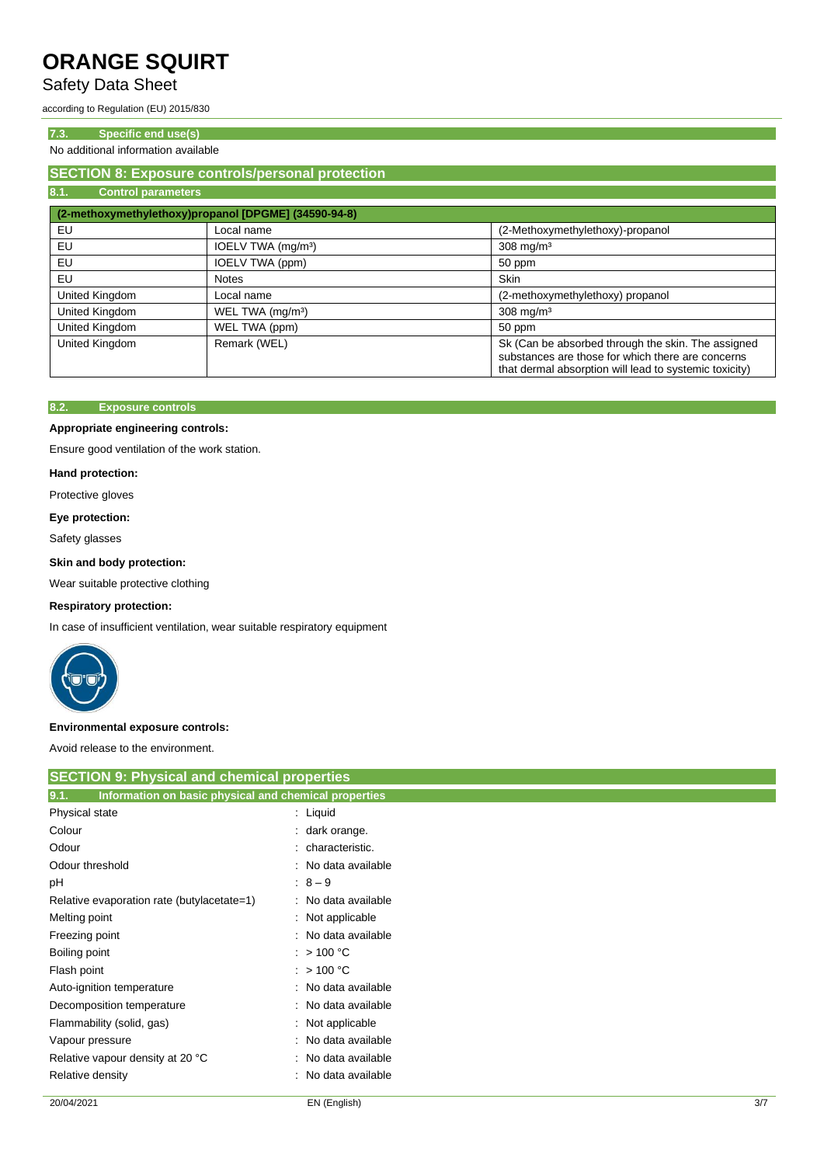### Safety Data Sheet

according to Regulation (EU) 2015/830

#### **7.3. Specific end use(s)**

No additional information available

#### **SECTION 8: Exposure controls/personal protection 8.1. Control parameters**

|                | (2-methoxymethylethoxy)propanol [DPGME] (34590-94-8) |                                                                                                                                                                   |
|----------------|------------------------------------------------------|-------------------------------------------------------------------------------------------------------------------------------------------------------------------|
| EU             | Local name                                           | (2-Methoxymethylethoxy)-propanol                                                                                                                                  |
| EU             | IOELV TWA (mg/m <sup>3</sup> )                       | $308$ mg/m <sup>3</sup>                                                                                                                                           |
| EU             | IOELV TWA (ppm)                                      | 50 ppm                                                                                                                                                            |
| EU             | <b>Notes</b>                                         | <b>Skin</b>                                                                                                                                                       |
| United Kingdom | Local name                                           | (2-methoxymethylethoxy) propanol                                                                                                                                  |
| United Kingdom | WEL TWA (mg/m <sup>3</sup> )                         | $308$ mg/m <sup>3</sup>                                                                                                                                           |
| United Kingdom | WEL TWA (ppm)                                        | 50 ppm                                                                                                                                                            |
| United Kingdom | Remark (WEL)                                         | Sk (Can be absorbed through the skin. The assigned<br>substances are those for which there are concerns<br>that dermal absorption will lead to systemic toxicity) |

#### **8.2. Exposure controls**

#### **Appropriate engineering controls:**

Ensure good ventilation of the work station.

#### **Hand protection:**

Protective gloves

#### **Eye protection:**

Safety glasses

#### **Skin and body protection:**

Wear suitable protective clothing

#### **Respiratory protection:**

In case of insufficient ventilation, wear suitable respiratory equipment



#### **Environmental exposure controls:**

Avoid release to the environment.

| <b>SECTION 9: Physical and chemical properties</b>            |                        |  |
|---------------------------------------------------------------|------------------------|--|
| 9.1.<br>Information on basic physical and chemical properties |                        |  |
| Physical state                                                | : Liquid               |  |
| Colour                                                        | : dark orange.         |  |
| Odour                                                         | characteristic.        |  |
| Odour threshold                                               | : No data available    |  |
| рH                                                            | $:8 - 9$               |  |
| Relative evaporation rate (butylacetate=1)                    | : No data available    |  |
| Melting point                                                 | : Not applicable       |  |
| Freezing point                                                | : No data available    |  |
| Boiling point                                                 | : $>100 °C$            |  |
| Flash point                                                   | : $>100 °C$            |  |
| Auto-ignition temperature                                     | : No data available    |  |
| Decomposition temperature                                     | : No data available    |  |
| Flammability (solid, gas)                                     | : Not applicable       |  |
| Vapour pressure                                               | No data available      |  |
| Relative vapour density at 20 °C                              | No data available<br>÷ |  |
| Relative density                                              | No data available<br>÷ |  |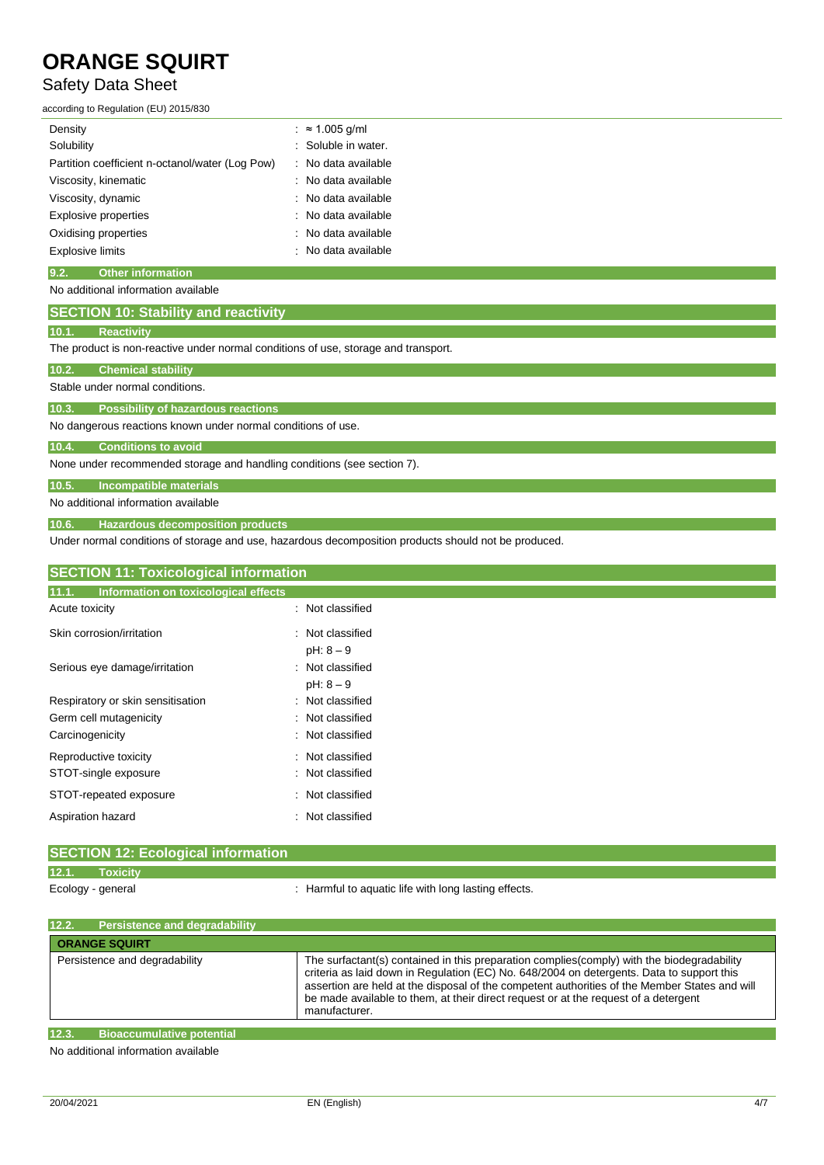### Safety Data Sheet

according to Regulation (EU) 2015/830

| Density                                         | $: \approx 1.005$ g/ml         |
|-------------------------------------------------|--------------------------------|
| Solubility                                      | : Soluble in water.            |
| Partition coefficient n-octanol/water (Log Pow) | : No data available            |
| Viscosity, kinematic                            | $\therefore$ No data available |
| Viscosity, dynamic                              | : No data available            |
| <b>Explosive properties</b>                     | $\therefore$ No data available |
| Oxidising properties                            | : No data available            |
| <b>Explosive limits</b>                         | No data available              |
|                                                 |                                |

#### **9.2. Other information**

#### No additional information available

| <b>SECTION 10: Stability and reactivity</b> |  |
|---------------------------------------------|--|
|                                             |  |

# **10.1. Reactivity**

The product is non-reactive under normal conditions of use, storage and transport.

#### **10.2. Chemical stability**

Stable under normal conditions.

**10.3. Possibility of hazardous reactions**

No dangerous reactions known under normal conditions of use.

#### **10.4. Conditions to avoid**

None under recommended storage and handling conditions (see section 7).

**10.5. Incompatible materials**

No additional information available

**10.6. Hazardous decomposition products**

Under normal conditions of storage and use, hazardous decomposition products should not be produced.

| <b>SECTION 11: Toxicological information</b>  |                                 |  |
|-----------------------------------------------|---------------------------------|--|
| 11.1.<br>Information on toxicological effects |                                 |  |
| Acute toxicity                                | : Not classified                |  |
| Skin corrosion/irritation                     | : Not classified<br>$pH: 8 - 9$ |  |
| Serious eye damage/irritation                 | : Not classified<br>$pH: 8 - 9$ |  |
| Respiratory or skin sensitisation             | : Not classified                |  |
| Germ cell mutagenicity                        | : Not classified                |  |
| Carcinogenicity                               | : Not classified                |  |
| Reproductive toxicity                         | Not classified<br>٠             |  |
| STOT-single exposure                          | Not classified<br>÷             |  |
| STOT-repeated exposure                        | : Not classified                |  |
| Aspiration hazard                             | : Not classified                |  |

### **SECTION 12: Ecological information 12.1. Toxicity**

Ecology - general : Harmful to aquatic life with long lasting effects.

| 12.2.<br><b>Persistence and degradability</b>                                                                                                                                                                                    |                                                                                                                                                                                                                                                                                                                                                                                                  |
|----------------------------------------------------------------------------------------------------------------------------------------------------------------------------------------------------------------------------------|--------------------------------------------------------------------------------------------------------------------------------------------------------------------------------------------------------------------------------------------------------------------------------------------------------------------------------------------------------------------------------------------------|
| <b>ORANGE SQUIRT</b>                                                                                                                                                                                                             |                                                                                                                                                                                                                                                                                                                                                                                                  |
| Persistence and degradability                                                                                                                                                                                                    | The surfactant(s) contained in this preparation complies(comply) with the biodegradability<br>criteria as laid down in Regulation (EC) No. 648/2004 on detergents. Data to support this<br>assertion are held at the disposal of the competent authorities of the Member States and will<br>be made available to them, at their direct request or at the request of a detergent<br>manufacturer. |
| 12.3.<br><b>Bioaccumulative potential</b>                                                                                                                                                                                        |                                                                                                                                                                                                                                                                                                                                                                                                  |
| $\mathbf{r}$ , and the set of the set of the set of the set of the set of the set of the set of the set of the set of the set of the set of the set of the set of the set of the set of the set of the set of the set of the set |                                                                                                                                                                                                                                                                                                                                                                                                  |

No additional information available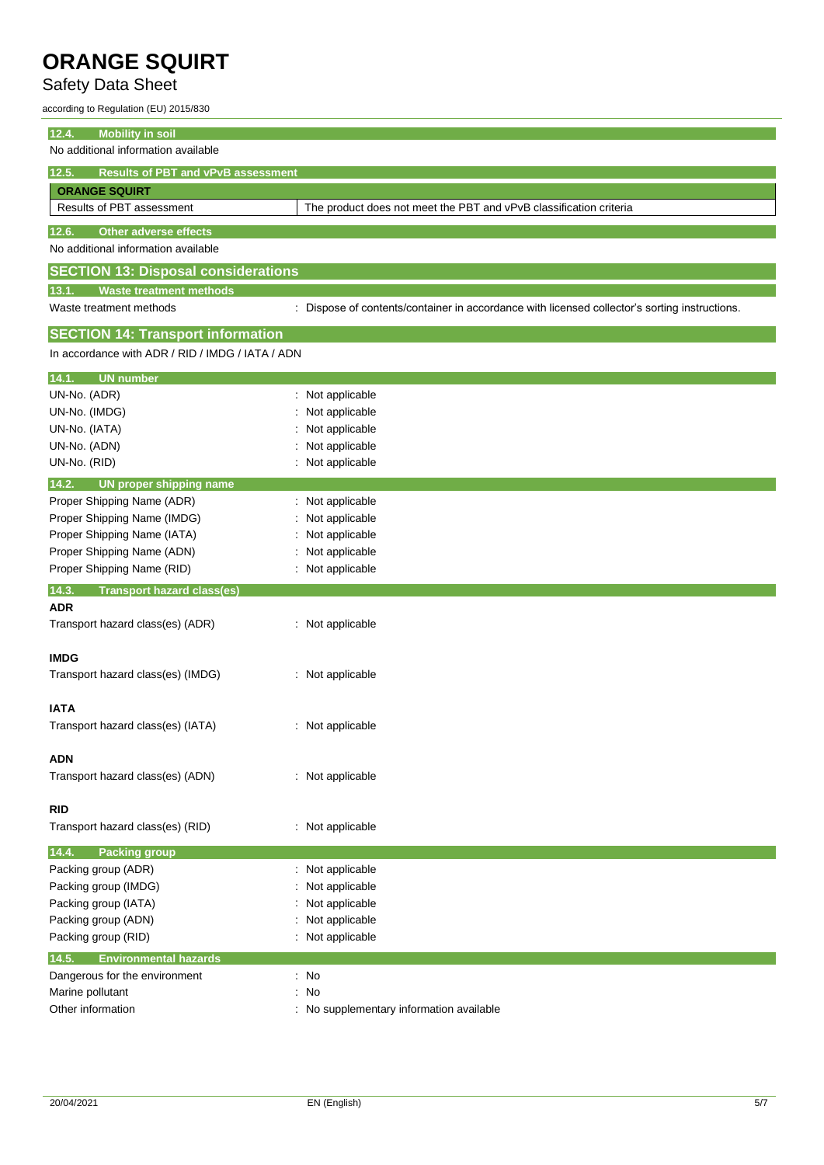# Safety Data Sheet

according to Regulation (EU) 2015/830

| 12.4.<br><b>Mobility in soil</b>                     |                                                                                               |  |  |
|------------------------------------------------------|-----------------------------------------------------------------------------------------------|--|--|
| No additional information available                  |                                                                                               |  |  |
| <b>Results of PBT and vPvB assessment</b><br>12.5.   |                                                                                               |  |  |
| <b>ORANGE SQUIRT</b>                                 |                                                                                               |  |  |
| Results of PBT assessment                            | The product does not meet the PBT and vPvB classification criteria                            |  |  |
| 12.6.<br><b>Other adverse effects</b>                |                                                                                               |  |  |
| No additional information available                  |                                                                                               |  |  |
| <b>SECTION 13: Disposal considerations</b>           |                                                                                               |  |  |
| <b>Waste treatment methods</b><br>13.1.              |                                                                                               |  |  |
| Waste treatment methods                              | : Dispose of contents/container in accordance with licensed collector's sorting instructions. |  |  |
| <b>SECTION 14: Transport information</b>             |                                                                                               |  |  |
| In accordance with ADR / RID / IMDG / IATA / ADN     |                                                                                               |  |  |
| <b>UN number</b><br>14.1.                            |                                                                                               |  |  |
| UN-No. (ADR)                                         | Not applicable                                                                                |  |  |
| UN-No. (IMDG)                                        | Not applicable                                                                                |  |  |
| UN-No. (IATA)                                        | Not applicable                                                                                |  |  |
| UN-No. (ADN)                                         | Not applicable                                                                                |  |  |
| UN-No. (RID)                                         | : Not applicable                                                                              |  |  |
| 14.2.<br><b>UN proper shipping name</b>              |                                                                                               |  |  |
| Proper Shipping Name (ADR)                           | : Not applicable                                                                              |  |  |
| Proper Shipping Name (IMDG)                          | Not applicable                                                                                |  |  |
| Proper Shipping Name (IATA)                          | Not applicable                                                                                |  |  |
| Proper Shipping Name (ADN)                           | Not applicable                                                                                |  |  |
| Proper Shipping Name (RID)                           | Not applicable                                                                                |  |  |
| 14.3.<br><b>Transport hazard class(es)</b>           |                                                                                               |  |  |
| <b>ADR</b>                                           |                                                                                               |  |  |
| Transport hazard class(es) (ADR)                     | : Not applicable                                                                              |  |  |
| <b>IMDG</b>                                          |                                                                                               |  |  |
| Transport hazard class(es) (IMDG)                    | : Not applicable                                                                              |  |  |
|                                                      |                                                                                               |  |  |
| <b>IATA</b>                                          |                                                                                               |  |  |
| Transport hazard class(es) (IATA)                    | : Not applicable                                                                              |  |  |
|                                                      |                                                                                               |  |  |
| <b>ADN</b>                                           |                                                                                               |  |  |
| Transport hazard class(es) (ADN)                     | : Not applicable                                                                              |  |  |
| <b>RID</b>                                           |                                                                                               |  |  |
| Transport hazard class(es) (RID)                     | : Not applicable                                                                              |  |  |
|                                                      |                                                                                               |  |  |
| 14.4.<br><b>Packing group</b><br>Packing group (ADR) | Not applicable                                                                                |  |  |
| Packing group (IMDG)                                 | Not applicable                                                                                |  |  |
| Packing group (IATA)                                 | Not applicable                                                                                |  |  |
| Packing group (ADN)                                  | Not applicable                                                                                |  |  |
| Packing group (RID)                                  | Not applicable                                                                                |  |  |
|                                                      |                                                                                               |  |  |
| 14.5.<br><b>Environmental hazards</b>                |                                                                                               |  |  |
| Dangerous for the environment                        | : No                                                                                          |  |  |
| Marine pollutant<br>Other information                | No<br>÷                                                                                       |  |  |
|                                                      | No supplementary information available                                                        |  |  |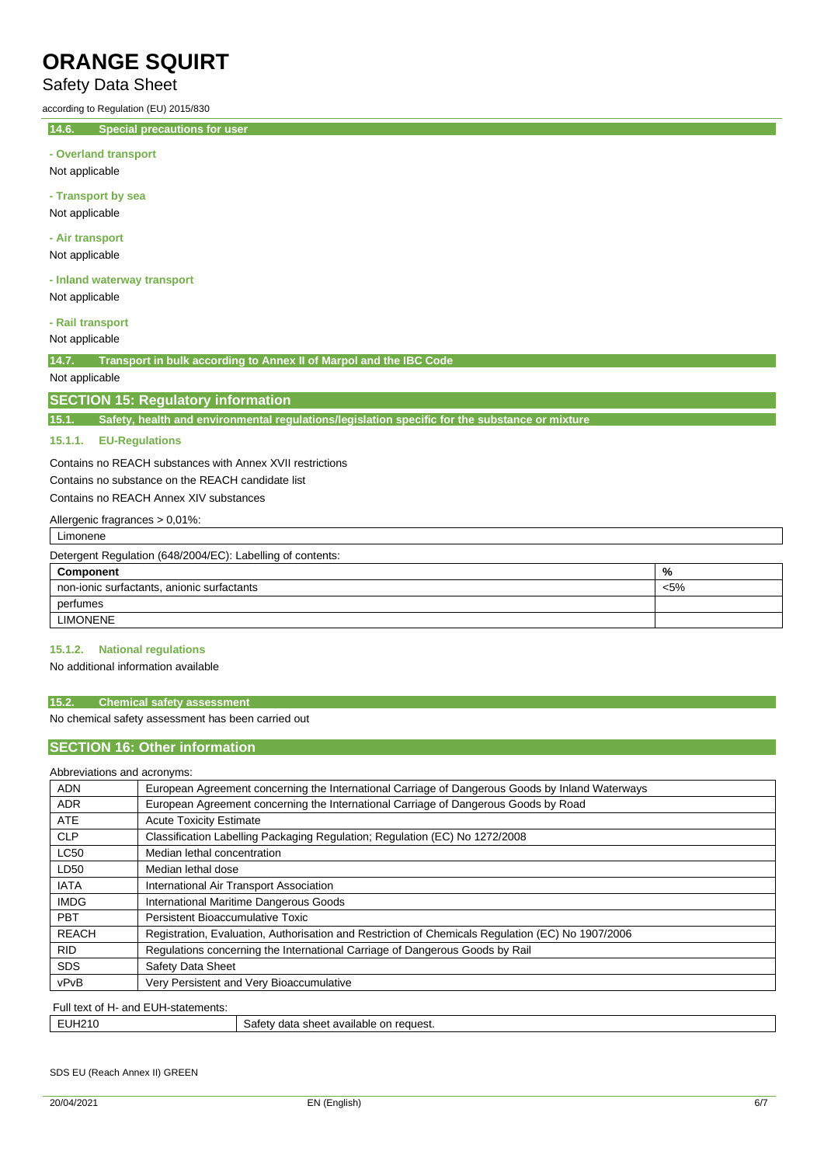### Safety Data Sheet

according to Regulation (EU) 2015/830

**14.6. Special precautions for user**

Not applicable

**- Transport by sea** Not applicable

**- Air transport**

Not applicable

**- Inland waterway transport** Not applicable

**- Rail transport**

Not applicable

**14.7. Transport in bulk according to Annex II of Marpol and the IBC Code**

### Not applicable

#### **SECTION 15: Regulatory information**

**15.1. Safety, health and environmental regulations/legislation specific for the substance or mixture**

#### **15.1.1. EU-Regulations**

Contains no REACH substances with Annex XVII restrictions Contains no substance on the REACH candidate list

Contains no REACH Annex XIV substances

| Allergenic fragrances > 0,01%:                             |         |
|------------------------------------------------------------|---------|
| Limonene                                                   |         |
| Detergent Regulation (648/2004/EC): Labelling of contents: |         |
| Component                                                  | %       |
| non-ionic surfactants, anionic surfactants                 | $< 5\%$ |
| perfumes                                                   |         |
| <b>LIMONENE</b>                                            |         |
|                                                            |         |

#### **15.1.2. National regulations**

No additional information available

#### **15.2. Chemical safety assessment**

No chemical safety assessment has been carried out

#### **SECTION 16: Other information**

#### Abbreviations and acronyms:

| ADDICTIQUOIIS QUU QUIVIIIS.         |                                                                                                   |
|-------------------------------------|---------------------------------------------------------------------------------------------------|
| <b>ADN</b>                          | European Agreement concerning the International Carriage of Dangerous Goods by Inland Waterways   |
| <b>ADR</b>                          | European Agreement concerning the International Carriage of Dangerous Goods by Road               |
| <b>ATE</b>                          | <b>Acute Toxicity Estimate</b>                                                                    |
| <b>CLP</b>                          | Classification Labelling Packaging Regulation; Regulation (EC) No 1272/2008                       |
| <b>LC50</b>                         | Median lethal concentration                                                                       |
| LD50                                | Median lethal dose                                                                                |
| <b>IATA</b>                         | International Air Transport Association                                                           |
| <b>IMDG</b>                         | International Maritime Dangerous Goods                                                            |
| <b>PBT</b>                          | Persistent Bioaccumulative Toxic                                                                  |
| <b>REACH</b>                        | Registration, Evaluation, Authorisation and Restriction of Chemicals Regulation (EC) No 1907/2006 |
| <b>RID</b>                          | Regulations concerning the International Carriage of Dangerous Goods by Rail                      |
| <b>SDS</b>                          | Safety Data Sheet                                                                                 |
| vPvB                                | Very Persistent and Very Bioaccumulative                                                          |
| Full text of H- and FUH-statements: |                                                                                                   |

| rull text<br>l VI n' dily EUN-Sidi <del>c</del> hienis. |                                                      |  |
|---------------------------------------------------------|------------------------------------------------------|--|
| <b>EUH210</b>                                           | خafetv.<br>a sheet available on-<br>data<br>reauest. |  |

#### SDS EU (Reach Annex II) GREEN